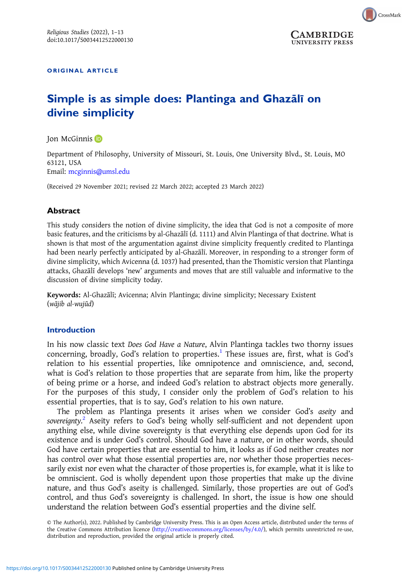

**UNIVERSITY PRESS** 

ORIGINAL ARTICLE

# Simple is as simple does: Plantinga and Ghazālı̄ on divine simplicity

Jon McGinnis<sup>D</sup>

Department of Philosophy, University of Missouri, St. Louis, One University Blvd., St. Louis, MO 63121, USA Email: [mcginnis@umsl.edu](mailto:mcginnis@umsl.edu)

(Received 29 November 2021; revised 22 March 2022; accepted 23 March 2022)

## Abstract

This study considers the notion of divine simplicity, the idea that God is not a composite of more basic features, and the criticisms by al-Ghazālī (d. 1111) and Alvin Plantinga of that doctrine. What is shown is that most of the argumentation against divine simplicity frequently credited to Plantinga had been nearly perfectly anticipated by al-Ghazālī. Moreover, in responding to a stronger form of divine simplicity, which Avicenna (d. 1037) had presented, than the Thomistic version that Plantinga attacks, Ghazālī develops 'new' arguments and moves that are still valuable and informative to the discussion of divine simplicity today.

Keywords: Al-Ghazālī; Avicenna; Alvin Plantinga; divine simplicity; Necessary Existent (wājib al-wujūd)

### Introduction

In his now classic text Does God Have a Nature, Alvin Plantinga tackles two thorny issues concerning, broadly, God's relation to properties.[1](#page-9-0) These issues are, first, what is God's relation to his essential properties, like omnipotence and omniscience, and, second, what is God's relation to those properties that are separate from him, like the property of being prime or a horse, and indeed God's relation to abstract objects more generally. For the purposes of this study, I consider only the problem of God's relation to his essential properties, that is to say, God's relation to his own nature.

The problem as Plantinga presents it arises when we consider God's aseity and sovereignty.<sup>[2](#page-9-0)</sup> Aseity refers to God's being wholly self-sufficient and not dependent upon anything else, while divine sovereignty is that everything else depends upon God for its existence and is under God's control. Should God have a nature, or in other words, should God have certain properties that are essential to him, it looks as if God neither creates nor has control over what those essential properties are, nor whether those properties necessarily exist nor even what the character of those properties is, for example, what it is like to be omniscient. God is wholly dependent upon those properties that make up the divine nature, and thus God's aseity is challenged. Similarly, those properties are out of God's control, and thus God's sovereignty is challenged. In short, the issue is how one should understand the relation between God's essential properties and the divine self.

© The Author(s), 2022. Published by Cambridge University Press. This is an Open Access article, distributed under the terms of the Creative Commons Attribution licence [\(http://creativecommons.org/licenses/by/4.0/](http://creativecommons.org/licenses/by/4.0/)), which permits unrestricted re-use, distribution and reproduction, provided the original article is properly cited.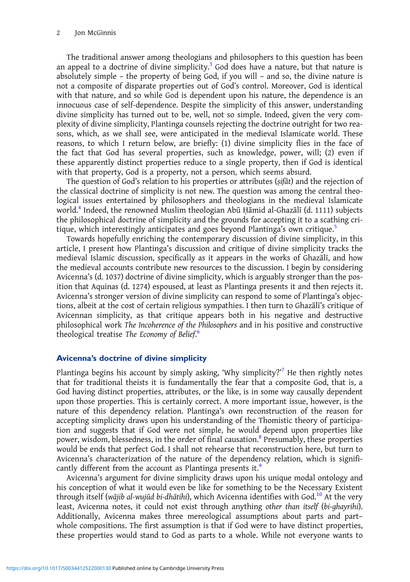The traditional answer among theologians and philosophers to this question has been an appeal to a doctrine of divine simplicity.<sup>3</sup> God does have a nature, but that nature is absolutely simple – the property of being God, if you will – and so, the divine nature is not a composite of disparate properties out of God's control. Moreover, God is identical with that nature, and so while God is dependent upon his nature, the dependence is an innocuous case of self-dependence. Despite the simplicity of this answer, understanding divine simplicity has turned out to be, well, not so simple. Indeed, given the very complexity of divine simplicity, Plantinga counsels rejecting the doctrine outright for two reasons, which, as we shall see, were anticipated in the medieval Islamicate world. These reasons, to which I return below, are briefly: (1) divine simplicity flies in the face of the fact that God has several properties, such as knowledge, power, will; (2) even if these apparently distinct properties reduce to a single property, then if God is identical with that property, God is a property, not a person, which seems absurd.

The question of God's relation to his properties or attributes (ṣifāt) and the rejection of the classical doctrine of simplicity is not new. The question was among the central theological issues entertained by philosophers and theologians in the medieval Islamicate world.[4](#page-9-0) Indeed, the renowned Muslim theologian Abū Ḥāmid al-Ghazālī (d. 1111) subjects the philosophical doctrine of simplicity and the grounds for accepting it to a scathing cri-tique, which interestingly anticipates and goes beyond Plantinga's own critique.<sup>[5](#page-9-0)</sup>

Towards hopefully enriching the contemporary discussion of divine simplicity, in this article, I present how Plantinga's discussion and critique of divine simplicity tracks the medieval Islamic discussion, specifically as it appears in the works of Ghazālī, and how the medieval accounts contribute new resources to the discussion. I begin by considering Avicenna's (d. 1037) doctrine of divine simplicity, which is arguably stronger than the position that Aquinas (d. 1274) espoused, at least as Plantinga presents it and then rejects it. Avicenna's stronger version of divine simplicity can respond to some of Plantinga's objections, albeit at the cost of certain religious sympathies. I then turn to Ghazālī's critique of Avicennan simplicity, as that critique appears both in his negative and destructive philosophical work The Incoherence of the Philosophers and in his positive and constructive theological treatise The Economy of Belief.

#### Avicenna's doctrine of divine simplicity

Plantinga begins his account by simply asking, 'Why simplicity?'<sup>[7](#page-9-0)</sup> He then rightly notes that for traditional theists it is fundamentally the fear that a composite God, that is, a God having distinct properties, attributes, or the like, is in some way causally dependent upon those properties. This is certainly correct. A more important issue, however, is the nature of this dependency relation. Plantinga's own reconstruction of the reason for accepting simplicity draws upon his understanding of the Thomistic theory of participation and suggests that if God were not simple, he would depend upon properties like power, wisdom, blessedness, in the order of final causation.<sup>[8](#page-9-0)</sup> Presumably, these properties would be ends that perfect God. I shall not rehearse that reconstruction here, but turn to Avicenna's characterization of the nature of the dependency relation, which is signifi-cantly different from the account as Plantinga presents it.<sup>[9](#page-9-0)</sup>

Avicenna's argument for divine simplicity draws upon his unique modal ontology and his conception of what it would even be like for something to be the Necessary Existent through itself (wājib al-wujūd bi-dhātihi), which Avicenna identifies with God.<sup>[10](#page-9-0)</sup> At the very least, Avicenna notes, it could not exist through anything other than itself (bi-ghayrihi). Additionally, Avicenna makes three mereological assumptions about parts and part– whole compositions. The first assumption is that if God were to have distinct properties, these properties would stand to God as parts to a whole. While not everyone wants to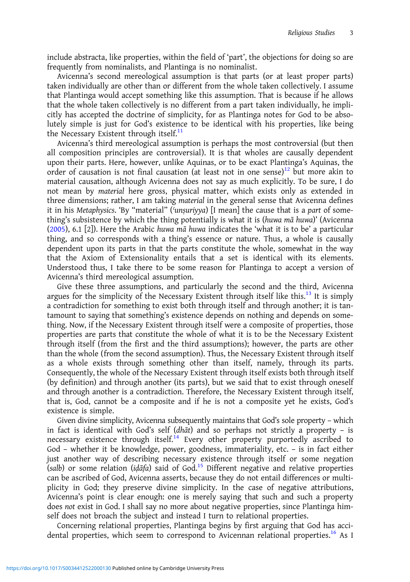include abstracta, like properties, within the field of 'part', the objections for doing so are frequently from nominalists, and Plantinga is no nominalist.

Avicenna's second mereological assumption is that parts (or at least proper parts) taken individually are other than or different from the whole taken collectively. I assume that Plantinga would accept something like this assumption. That is because if he allows that the whole taken collectively is no different from a part taken individually, he implicitly has accepted the doctrine of simplicity, for as Plantinga notes for God to be absolutely simple is just for God's existence to be identical with his properties, like being the Necessary Existent through itself. $<sup>11</sup>$  $<sup>11</sup>$  $<sup>11</sup>$ </sup>

Avicenna's third mereological assumption is perhaps the most controversial (but then all composition principles are controversial). It is that wholes are causally dependent upon their parts. Here, however, unlike Aquinas, or to be exact Plantinga's Aquinas, the order of causation is not final causation (at least not in one sense)<sup>[12](#page-9-0)</sup> but more akin to material causation, although Avicenna does not say as much explicitly. To be sure, I do not mean by material here gross, physical matter, which exists only as extended in three dimensions; rather, I am taking material in the general sense that Avicenna defines it in his Metaphysics. 'By "material" (ʿunṣuriyya) [I mean] the cause that is a part of something's subsistence by which the thing potentially is what it is (huwa mā huwa)' (Avicenna ([2005\)](#page-11-0), 6.1 [2]). Here the Arabic huwa mā huwa indicates the 'what it is to be' a particular thing, and so corresponds with a thing's essence or nature. Thus, a whole is causally dependent upon its parts in that the parts constitute the whole, somewhat in the way that the Axiom of Extensionality entails that a set is identical with its elements. Understood thus, I take there to be some reason for Plantinga to accept a version of Avicenna's third mereological assumption.

Give these three assumptions, and particularly the second and the third, Avicenna argues for the simplicity of the Necessary Existent through itself like this.<sup>[13](#page-9-0)</sup> It is simply a contradiction for something to exist both through itself and through another; it is tantamount to saying that something's existence depends on nothing and depends on something. Now, if the Necessary Existent through itself were a composite of properties, those properties are parts that constitute the whole of what it is to be the Necessary Existent through itself (from the first and the third assumptions); however, the parts are other than the whole (from the second assumption). Thus, the Necessary Existent through itself as a whole exists through something other than itself, namely, through its parts. Consequently, the whole of the Necessary Existent through itself exists both through itself (by definition) and through another (its parts), but we said that to exist through oneself and through another is a contradiction. Therefore, the Necessary Existent through itself, that is, God, cannot be a composite and if he is not a composite yet he exists, God's existence is simple.

Given divine simplicity, Avicenna subsequently maintains that God's sole property – which in fact is identical with God's self (dhāt) and so perhaps not strictly a property – is necessary existence through itself.<sup>[14](#page-9-0)</sup> Every other property purportedly ascribed to God – whether it be knowledge, power, goodness, immateriality, etc. – is in fact either just another way of describing necessary existence through itself or some negation  $(salb)$  or some relation ( $i\frac{d}{dt}a$ ) said of God.<sup>[15](#page-10-0)</sup> Different negative and relative properties can be ascribed of God, Avicenna asserts, because they do not entail differences or multiplicity in God; they preserve divine simplicity. In the case of negative attributions, Avicenna's point is clear enough: one is merely saying that such and such a property does not exist in God. I shall say no more about negative properties, since Plantinga himself does not broach the subject and instead I turn to relational properties.

Concerning relational properties, Plantinga begins by first arguing that God has acci-dental properties, which seem to correspond to Avicennan relational properties.<sup>[16](#page-10-0)</sup> As I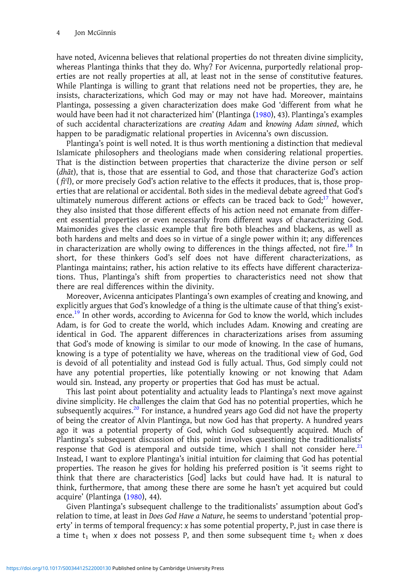have noted, Avicenna believes that relational properties do not threaten divine simplicity, whereas Plantinga thinks that they do. Why? For Avicenna, purportedly relational properties are not really properties at all, at least not in the sense of constitutive features. While Plantinga is willing to grant that relations need not be properties, they are, he insists, characterizations, which God may or may not have had. Moreover, maintains Plantinga, possessing a given characterization does make God 'different from what he would have been had it not characterized him' (Plantinga [\(1980\)](#page-12-0), 43). Plantinga's examples of such accidental characterizations are creating Adam and knowing Adam sinned, which happen to be paradigmatic relational properties in Avicenna's own discussion.

Plantinga's point is well noted. It is thus worth mentioning a distinction that medieval Islamicate philosophers and theologians made when considering relational properties. That is the distinction between properties that characterize the divine person or self (dhāt), that is, those that are essential to God, and those that characterize God's action  $(f_1^q)$ , or more precisely God's action relative to the effects it produces, that is, those properties that are relational or accidental. Both sides in the medieval debate agreed that God's ultimately numerous different actions or effects can be traced back to  $God;^{17}$  $God;^{17}$  $God;^{17}$  however, they also insisted that those different effects of his action need not emanate from different essential properties or even necessarily from different ways of characterizing God. Maimonides gives the classic example that fire both bleaches and blackens, as well as both hardens and melts and does so in virtue of a single power within it; any differences in characterization are wholly owing to differences in the things affected, not fire.<sup>18</sup> In short, for these thinkers God's self does not have different characterizations, as Plantinga maintains; rather, his action relative to its effects have different characterizations. Thus, Plantinga's shift from properties to characteristics need not show that there are real differences within the divinity.

Moreover, Avicenna anticipates Plantinga's own examples of creating and knowing, and explicitly argues that God's knowledge of a thing is the ultimate cause of that thing's exist-ence.<sup>[19](#page-10-0)</sup> In other words, according to Avicenna for God to know the world, which includes Adam, is for God to create the world, which includes Adam. Knowing and creating are identical in God. The apparent differences in characterizations arises from assuming that God's mode of knowing is similar to our mode of knowing. In the case of humans, knowing is a type of potentiality we have, whereas on the traditional view of God, God is devoid of all potentiality and instead God is fully actual. Thus, God simply could not have any potential properties, like potentially knowing or not knowing that Adam would sin. Instead, any property or properties that God has must be actual.

This last point about potentiality and actuality leads to Plantinga's next move against divine simplicity. He challenges the claim that God has no potential properties, which he subsequently acquires.<sup>[20](#page-10-0)</sup> For instance, a hundred years ago God did not have the property of being the creator of Alvin Plantinga, but now God has that property. A hundred years ago it was a potential property of God, which God subsequently acquired. Much of Plantinga's subsequent discussion of this point involves questioning the traditionalists' response that God is atemporal and outside time, which I shall not consider here. $21$ Instead, I want to explore Plantinga's initial intuition for claiming that God has potential properties. The reason he gives for holding his preferred position is 'it seems right to think that there are characteristics [God] lacks but could have had. It is natural to think, furthermore, that among these there are some he hasn't yet acquired but could acquire' (Plantinga [\(1980\)](#page-12-0), 44).

Given Plantinga's subsequent challenge to the traditionalists' assumption about God's relation to time, at least in Does God Have a Nature, he seems to understand 'potential property' in terms of temporal frequency: x has some potential property, P, just in case there is a time  $t_1$  when x does not possess P, and then some subsequent time  $t_2$  when x does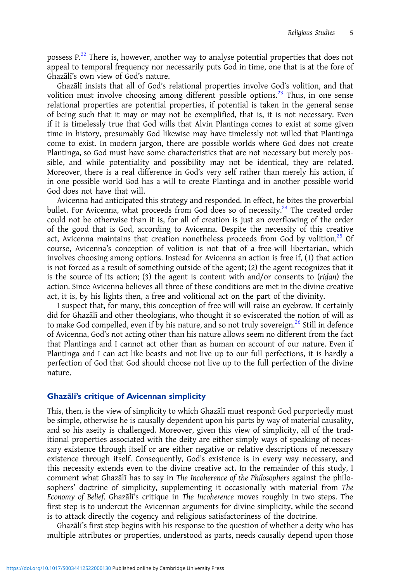possess P.<sup>[22](#page-10-0)</sup> There is, however, another way to analyse potential properties that does not appeal to temporal frequency nor necessarily puts God in time, one that is at the fore of Ghazālī's own view of God's nature.

Ghazālī insists that all of God's relational properties involve God's volition, and that volition must involve choosing among different possible options. $^{23}$  $^{23}$  $^{23}$  Thus, in one sense relational properties are potential properties, if potential is taken in the general sense of being such that it may or may not be exemplified, that is, it is not necessary. Even if it is timelessly true that God wills that Alvin Plantinga comes to exist at some given time in history, presumably God likewise may have timelessly not willed that Plantinga come to exist. In modern jargon, there are possible worlds where God does not create Plantinga, so God must have some characteristics that are not necessary but merely possible, and while potentiality and possibility may not be identical, they are related. Moreover, there is a real difference in God's very self rather than merely his action, if in one possible world God has a will to create Plantinga and in another possible world God does not have that will.

Avicenna had anticipated this strategy and responded. In effect, he bites the proverbial bullet. For Avicenna, what proceeds from God does so of necessity.<sup>[24](#page-10-0)</sup> The created order could not be otherwise than it is, for all of creation is just an overflowing of the order of the good that is God, according to Avicenna. Despite the necessity of this creative act, Avicenna maintains that creation nonetheless proceeds from God by volition.<sup>[25](#page-10-0)</sup> Of course, Avicenna's conception of volition is not that of a free-will libertarian, which involves choosing among options. Instead for Avicenna an action is free if, (1) that action is not forced as a result of something outside of the agent; (2) the agent recognizes that it is the source of its action; (3) the agent is content with and/or consents to ( $ridan$ ) the action. Since Avicenna believes all three of these conditions are met in the divine creative act, it is, by his lights then, a free and volitional act on the part of the divinity.

I suspect that, for many, this conception of free will will raise an eyebrow. It certainly did for Ghazālī and other theologians, who thought it so eviscerated the notion of will as to make God compelled, even if by his nature, and so not truly sovereign.<sup>[26](#page-10-0)</sup> Still in defence of Avicenna, God's not acting other than his nature allows seem no different from the fact that Plantinga and I cannot act other than as human on account of our nature. Even if Plantinga and I can act like beasts and not live up to our full perfections, it is hardly a perfection of God that God should choose not live up to the full perfection of the divine nature.

#### Ghazālı̄'s critique of Avicennan simplicity

This, then, is the view of simplicity to which Ghazālī must respond: God purportedly must be simple, otherwise he is causally dependent upon his parts by way of material causality, and so his aseity is challenged. Moreover, given this view of simplicity, all of the traditional properties associated with the deity are either simply ways of speaking of necessary existence through itself or are either negative or relative descriptions of necessary existence through itself. Consequently, God's existence is in every way necessary, and this necessity extends even to the divine creative act. In the remainder of this study, I comment what Ghazālī has to say in The Incoherence of the Philosophers against the philosophers' doctrine of simplicity, supplementing it occasionally with material from The Economy of Belief. Ghazālī's critique in The Incoherence moves roughly in two steps. The first step is to undercut the Avicennan arguments for divine simplicity, while the second is to attack directly the cogency and religious satisfactoriness of the doctrine.

Ghazālī's first step begins with his response to the question of whether a deity who has multiple attributes or properties, understood as parts, needs causally depend upon those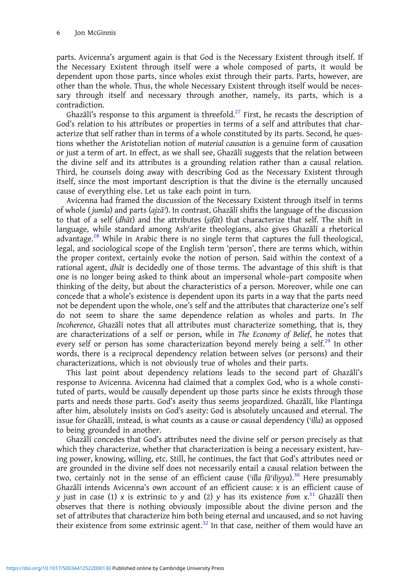parts. Avicenna's argument again is that God is the Necessary Existent through itself. If the Necessary Existent through itself were a whole composed of parts, it would be dependent upon those parts, since wholes exist through their parts. Parts, however, are other than the whole. Thus, the whole Necessary Existent through itself would be necessary through itself and necessary through another, namely, its parts, which is a contradiction.

Ghazālī's response to this argument is threefold.<sup>[27](#page-10-0)</sup> First, he recasts the description of God's relation to his attributes or properties in terms of a self and attributes that characterize that self rather than in terms of a whole constituted by its parts. Second, he questions whether the Aristotelian notion of material causation is a genuine form of causation or just a term of art. In effect, as we shall see, Ghazālī suggests that the relation between the divine self and its attributes is a grounding relation rather than a causal relation. Third, he counsels doing away with describing God as the Necessary Existent through itself, since the most important description is that the divine is the eternally uncaused cause of everything else. Let us take each point in turn.

Avicenna had framed the discussion of the Necessary Existent through itself in terms of whole ( jumla) and parts (ajzāʾ). In contrast, Ghazālī shifts the language of the discussion to that of a self (dhāt) and the attributes (ṣifāt) that characterize that self. The shift in language, while standard among Ashʿarite theologians, also gives Ghazālī a rhetorical advantage.<sup>[28](#page-10-0)</sup> While in Arabic there is no single term that captures the full theological, legal, and sociological scope of the English term 'person', there are terms which, within the proper context, certainly evoke the notion of person. Said within the context of a rational agent, dhāt is decidedly one of those terms. The advantage of this shift is that one is no longer being asked to think about an impersonal whole–part composite when thinking of the deity, but about the characteristics of a person. Moreover, while one can concede that a whole's existence is dependent upon its parts in a way that the parts need not be dependent upon the whole, one's self and the attributes that characterize one's self do not seem to share the same dependence relation as wholes and parts. In The Incoherence, Ghazālī notes that all attributes must characterize something, that is, they are characterizations of a self or person, while in The Economy of Belief, he notes that every self or person has some characterization beyond merely being a self.<sup>[29](#page-10-0)</sup> In other words, there is a reciprocal dependency relation between selves (or persons) and their characterizations, which is not obviously true of wholes and their parts.

This last point about dependency relations leads to the second part of Ghazālī's response to Avicenna. Avicenna had claimed that a complex God, who is a whole constituted of parts, would be causally dependent up those parts since he exists through those parts and needs those parts. God's aseity thus seems jeopardized. Ghazālī, like Plantinga after him, absolutely insists on God's aseity: God is absolutely uncaused and eternal. The issue for Ghazālī, instead, is what counts as a cause or causal dependency (*'illa*) as opposed to being grounded in another.

Ghazālī concedes that God's attributes need the divine self or person precisely as that which they characterize, whether that characterization is being a necessary existent, having power, knowing, willing, etc. Still, he continues, the fact that God's attributes need or are grounded in the divine self does not necessarily entail a causal relation between the two, certainly not in the sense of an efficient cause ( $\frac{\partial^2 u}{\partial x^2}$  Here presumably Ghazālī intends Avicenna's own account of an efficient cause: x is an efficient cause of y just in case (1) x is extrinsic to y and (2) y has its existence from  $x^{31}$  $x^{31}$  $x^{31}$  Ghazālī then observes that there is nothing obviously impossible about the divine person and the set of attributes that characterize him both being eternal and uncaused, and so not having their existence from some extrinsic agent.<sup>[32](#page-10-0)</sup> In that case, neither of them would have an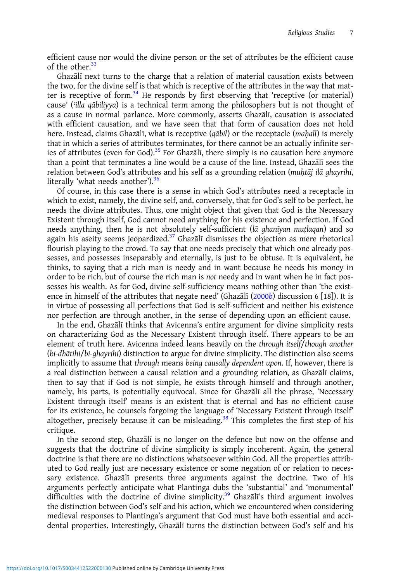efficient cause nor would the divine person or the set of attributes be the efficient cause of the other  $33$ 

Ghazālī next turns to the charge that a relation of material causation exists between the two, for the divine self is that which is receptive of the attributes in the way that matter is receptive of form. $34$  He responds by first observing that 'receptive (or material) cause' ('illa qābiliyya) is a technical term among the philosophers but is not thought of as a cause in normal parlance. More commonly, asserts Ghazālī, causation is associated with efficient causation, and we have seen that that form of causation does not hold here. Instead, claims Ghazālī, what is receptive (qābil) or the receptacle (mahall) is merely that in which a series of attributes terminates, for there cannot be an actually infinite ser-ies of attributes (even for God).<sup>[35](#page-10-0)</sup> For Ghazālī, there simply is no causation here anymore than a point that terminates a line would be a cause of the line. Instead, Ghazālī sees the relation between God's attributes and his self as a grounding relation (muhtāj ilā ghayrihi, literally 'what needs another').<sup>[36](#page-11-0)</sup>

Of course, in this case there is a sense in which God's attributes need a receptacle in which to exist, namely, the divine self, and, conversely, that for God's self to be perfect, he needs the divine attributes. Thus, one might object that given that God is the Necessary Existent through itself, God cannot need anything for his existence and perfection. If God needs anything, then he is not absolutely self-sufficient (lā ghanīyan muṭlaqan) and so again his aseity seems jeopardized. $3^7$  Ghazālī dismisses the objection as mere rhetorical flourish playing to the crowd. To say that one needs precisely that which one already possesses, and possesses inseparably and eternally, is just to be obtuse. It is equivalent, he thinks, to saying that a rich man is needy and in want because he needs his money in order to be rich, but of course the rich man is not needy and in want when he in fact possesses his wealth. As for God, divine self-sufficiency means nothing other than 'the existence in himself of the attributes that negate need' (Ghazali  $(2000b)$  $(2000b)$  $(2000b)$  discussion 6 [18]). It is in virtue of possessing all perfections that God is self-sufficient and neither his existence nor perfection are through another, in the sense of depending upon an efficient cause.

In the end, Ghazālī thinks that Avicenna's entire argument for divine simplicity rests on characterizing God as the Necessary Existent through itself. There appears to be an element of truth here. Avicenna indeed leans heavily on the through itself/though another (bi-dhātihi/bi-ghayrihi) distinction to argue for divine simplicity. The distinction also seems implicitly to assume that through means being causally dependent upon. If, however, there is a real distinction between a causal relation and a grounding relation, as Ghazālī claims, then to say that if God is not simple, he exists through himself and through another, namely, his parts, is potentially equivocal. Since for Ghazālī all the phrase, 'Necessary Existent through itself' means is an existent that is eternal and has no efficient cause for its existence, he counsels forgoing the language of 'Necessary Existent through itself' altogether, precisely because it can be misleading.<sup>[38](#page-11-0)</sup> This completes the first step of his critique.

In the second step, Ghazālī is no longer on the defence but now on the offense and suggests that the doctrine of divine simplicity is simply incoherent. Again, the general doctrine is that there are no distinctions whatsoever within God. All the properties attributed to God really just are necessary existence or some negation of or relation to necessary existence. Ghazālī presents three arguments against the doctrine. Two of his arguments perfectly anticipate what Plantinga dubs the 'substantial' and 'monumental' difficulties with the doctrine of divine simplicity.<sup>[39](#page-11-0)</sup> Ghazali's third argument involves the distinction between God's self and his action, which we encountered when considering medieval responses to Plantinga's argument that God must have both essential and accidental properties. Interestingly, Ghazālī turns the distinction between God's self and his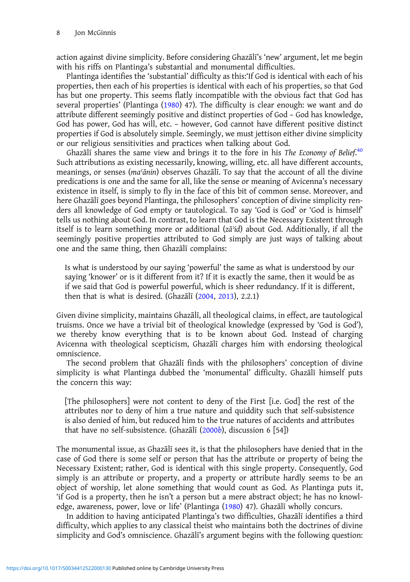action against divine simplicity. Before considering Ghazālī's 'new' argument, let me begin with his riffs on Plantinga's substantial and monumental difficulties.

Plantinga identifies the 'substantial' difficulty as this:'If God is identical with each of his properties, then each of his properties is identical with each of his properties, so that God has but one property. This seems flatly incompatible with the obvious fact that God has several properties' (Plantinga ([1980\)](#page-12-0) 47). The difficulty is clear enough: we want and do attribute different seemingly positive and distinct properties of God – God has knowledge, God has power, God has will, etc. – however, God cannot have different positive distinct properties if God is absolutely simple. Seemingly, we must jettison either divine simplicity or our religious sensitivities and practices when talking about God.

Ghazālī shares the same view and brings it to the fore in his The Economy of Belief.<sup>[40](#page-11-0)</sup> Such attributions as existing necessarily, knowing, willing, etc. all have different accounts, meanings, or senses (maʿānin) observes Ghazālī. To say that the account of all the divine predications is one and the same for all, like the sense or meaning of Avicenna's necessary existence in itself, is simply to fly in the face of this bit of common sense. Moreover, and here Ghazālī goes beyond Plantinga, the philosophers' conception of divine simplicity renders all knowledge of God empty or tautological. To say 'God is God' or 'God is himself' tells us nothing about God. In contrast, to learn that God is the Necessary Existent through itself is to learn something more or additional (zāʾid) about God. Additionally, if all the seemingly positive properties attributed to God simply are just ways of talking about one and the same thing, then Ghazālī complains:

Is what is understood by our saying 'powerful' the same as what is understood by our saying 'knower' or is it different from it? If it is exactly the same, then it would be as if we said that God is powerful powerful, which is sheer redundancy. If it is different, then that is what is desired. (Ghazālī  $(2004, 2013)$  $(2004, 2013)$  $(2004, 2013)$  $(2004, 2013)$ , 2.2.1)

Given divine simplicity, maintains Ghazālī, all theological claims, in effect, are tautological truisms. Once we have a trivial bit of theological knowledge (expressed by 'God is God'), we thereby know everything that is to be known about God. Instead of charging Avicenna with theological scepticism, Ghazālī charges him with endorsing theological omniscience.

The second problem that Ghazālī finds with the philosophers' conception of divine simplicity is what Plantinga dubbed the 'monumental' difficulty. Ghazālī himself puts the concern this way:

[The philosophers] were not content to deny of the First [i.e. God] the rest of the attributes nor to deny of him a true nature and quiddity such that self-subsistence is also denied of him, but reduced him to the true natures of accidents and attributes that have no self-subsistence. (Ghazālī [\(2000](#page-11-0)b), discussion 6 [54])

The monumental issue, as Ghazālī sees it, is that the philosophers have denied that in the case of God there is some self or person that has the attribute or property of being the Necessary Existent; rather, God is identical with this single property. Consequently, God simply is an attribute or property, and a property or attribute hardly seems to be an object of worship, let alone something that would count as God. As Plantinga puts it, 'if God is a property, then he isn't a person but a mere abstract object; he has no knowledge, awareness, power, love or life' (Plantinga [\(1980](#page-12-0)) 47). Ghazālī wholly concurs.

In addition to having anticipated Plantinga's two difficulties, Ghazālī identifies a third difficulty, which applies to any classical theist who maintains both the doctrines of divine simplicity and God's omniscience. Ghazālī's argument begins with the following question: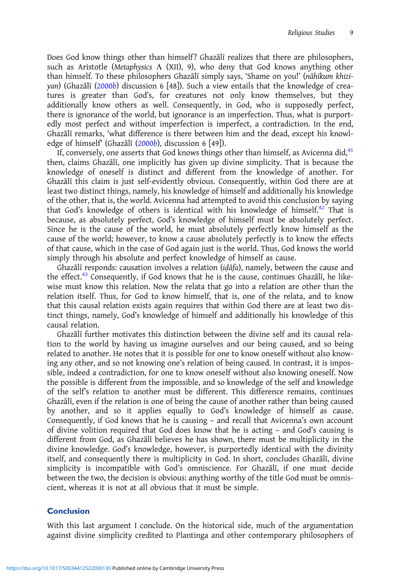Does God know things other than himself? Ghazālī realizes that there are philosophers, such as Aristotle (Metaphysics Λ (XII), 9), who deny that God knows anything other than himself. To these philosophers Ghazālī simply says, 'Shame on you!' (nāhīkum khiziyan) (Ghazālī ([2000](#page-11-0)b) discussion 6 [48]). Such a view entails that the knowledge of creatures is greater than God's, for creatures not only know themselves, but they additionally know others as well. Consequently, in God, who is supposedly perfect, there is ignorance of the world, but ignorance is an imperfection. Thus, what is purportedly most perfect and without imperfection is imperfect, a contradiction. In the end, Ghazālī remarks, 'what difference is there between him and the dead, except his knowl-edge of himself' (Ghazālī ([2000](#page-11-0)b), discussion 6 [49]).

If, conversely, one asserts that God knows things other than himself, as Avicenna did, $^{41}$  $^{41}$  $^{41}$ then, claims Ghazālī, one implicitly has given up divine simplicity. That is because the knowledge of oneself is distinct and different from the knowledge of another. For Ghazālī this claim is just self-evidently obvious. Consequently, within God there are at least two distinct things, namely, his knowledge of himself and additionally his knowledge of the other, that is, the world. Avicenna had attempted to avoid this conclusion by saying that God's knowledge of others is identical with his knowledge of himself.<sup>[42](#page-11-0)</sup> That is because, as absolutely perfect, God's knowledge of himself must be absolutely perfect. Since he is the cause of the world, he must absolutely perfectly know himself as the cause of the world; however, to know a cause absolutely perfectly is to know the effects of that cause, which in the case of God again just is the world. Thus, God knows the world simply through his absolute and perfect knowledge of himself as cause.

Ghazālī responds: causation involves a relation ( $id\bar{a}fa$ ), namely, between the cause and the effect.<sup>[43](#page-11-0)</sup> Consequently, if God knows that he is the cause, continues Ghazali, he likewise must know this relation. Now the relata that go into a relation are other than the relation itself. Thus, for God to know himself, that is, one of the relata, and to know that this causal relation exists again requires that within God there are at least two distinct things, namely, God's knowledge of himself and additionally his knowledge of this causal relation.

Ghazālī further motivates this distinction between the divine self and its causal relation to the world by having us imagine ourselves and our being caused, and so being related to another. He notes that it is possible for one to know oneself without also knowing any other, and so not knowing one's relation of being caused. In contrast, it is impossible, indeed a contradiction, for one to know oneself without also knowing oneself. Now the possible is different from the impossible, and so knowledge of the self and knowledge of the self's relation to another must be different. This difference remains, continues Ghazālī, even if the relation is one of being the cause of another rather than being caused by another, and so it applies equally to God's knowledge of himself as cause. Consequently, if God knows that he is causing – and recall that Avicenna's own account of divine volition required that God does know that he is acting – and God's causing is different from God, as Ghazālī believes he has shown, there must be multiplicity in the divine knowledge. God's knowledge, however, is purportedly identical with the divinity itself, and consequently there is multiplicity in God. In short, concludes Ghazālī, divine simplicity is incompatible with God's omniscience. For Ghazālī, if one must decide between the two, the decision is obvious: anything worthy of the title God must be omniscient, whereas it is not at all obvious that it must be simple.

# **Conclusion**

With this last argument I conclude. On the historical side, much of the argumentation against divine simplicity credited to Plantinga and other contemporary philosophers of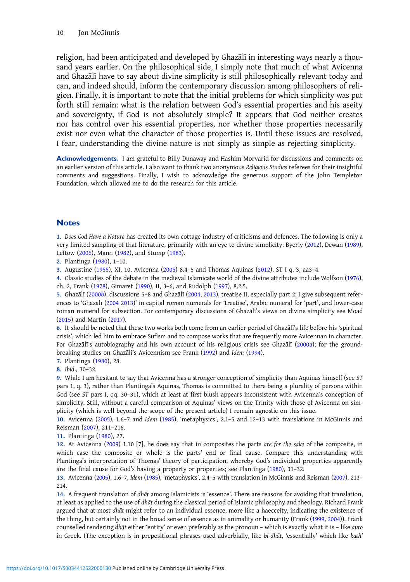<span id="page-9-0"></span>religion, had been anticipated and developed by Ghazālī in interesting ways nearly a thousand years earlier. On the philosophical side, I simply note that much of what Avicenna and Ghazālī have to say about divine simplicity is still philosophically relevant today and can, and indeed should, inform the contemporary discussion among philosophers of religion. Finally, it is important to note that the initial problems for which simplicity was put forth still remain: what is the relation between God's essential properties and his aseity and sovereignty, if God is not absolutely simple? It appears that God neither creates nor has control over his essential properties, nor whether those properties necessarily exist nor even what the character of those properties is. Until these issues are resolved, I fear, understanding the divine nature is not simply as simple as rejecting simplicity.

Acknowledgements. I am grateful to Billy Dunaway and Hashim Morvarid for discussions and comments on an earlier version of this article. I also want to thank two anonymous Religious Studies referees for their insightful comments and suggestions. Finally, I wish to acknowledge the generous support of the John Templeton Foundation, which allowed me to do the research for this article.

#### **Notes**

1. Does God Have a Nature has created its own cottage industry of criticisms and defences. The following is only a very limited sampling of that literature, primarily with an eye to divine simplicity: Byerly [\(2012](#page-11-0)), Dewan [\(1989](#page-11-0)), Leftow [\(2006](#page-11-0)), Mann ([1982\)](#page-11-0), and Stump ([1983\)](#page-12-0).

2. Plantinga [\(1980](#page-12-0)), 1–10.

3. Augustine ([1955\)](#page-11-0), XI, 10, Avicenna [\(2005](#page-11-0)) 8.4–5 and Thomas Aquinas [\(2012](#page-11-0)), ST I q. 3, aa3–4.

4. Classic studies of the debate in the medieval Islamicate world of the divine attributes include Wolfson [\(1976](#page-12-0)), ch. 2, Frank [\(1978\)](#page-11-0), Gimaret [\(1990](#page-11-0)), II, 3–6, and Rudolph [\(1997](#page-12-0)), 8.2.5.

5. Ghazālī ([2000](#page-11-0)b), discussions 5–8 and Ghazālī [\(2004](#page-11-0), [2013\)](#page-11-0), treatise II, especially part 2; I give subsequent references to 'Ghazālī [\(2004 2013](#page-11-0))' in capital roman numerals for 'treatise', Arabic numeral for 'part', and lower-case roman numeral for subsection. For contemporary discussions of Ghazālī's views on divine simplicity see Moad ([2015](#page-12-0)) and Martin ([2017\)](#page-11-0).

6. It should be noted that these two works both come from an earlier period of Ghazālī's life before his 'spiritual crisis', which led him to embrace Sufism and to compose works that are frequently more Avicennan in character. For Ghazālī's autobiography and his own account of his religious crisis see Ghazālī [\(2000a\)](#page-11-0); for the groundbreaking studies on Ghazālī's Avicennism see Frank [\(1992\)](#page-11-0) and Idem ([1994\)](#page-11-0).

7. Plantinga [\(1980](#page-12-0)), 28.

8. Ibid., 30–32.

9. While I am hesitant to say that Avicenna has a stronger conception of simplicity than Aquinas himself (see ST pars 1, q. 3), rather than Plantinga's Aquinas, Thomas is committed to there being a plurality of persons within God (see ST pars I, qq. 30–31), which at least at first blush appears inconsistent with Avicenna's conception of simplicity. Still, without a careful comparison of Aquinas' views on the Trinity with those of Avicenna on simplicity (which is well beyond the scope of the present article) I remain agnostic on this issue.

10. Avicenna [\(2005](#page-11-0)), 1.6–7 and Idem ([1985\)](#page-11-0), 'metaphysics', 2.1–5 and 12–13 with translations in McGinnis and Reisman ([2007\)](#page-12-0), 211–216.

11. Plantinga [\(1980](#page-12-0)), 27.

12. At Avicenna ([2009\)](#page-11-0) 1.10 [7], he does say that in composites the parts are for the sake of the composite, in which case the composite or whole is the parts' end or final cause. Compare this understanding with Plantinga's interpretation of Thomas' theory of participation, whereby God's individual properties apparently are the final cause for God's having a property or properties; see Plantinga [\(1980](#page-12-0)), 31–32.

13. Avicenna ([2005](#page-11-0)), 1.6–7, Idem ([1985](#page-11-0)), 'metaphysics', 2.4–5 with translation in McGinnis and Reisman [\(2007\)](#page-12-0), 213– 214.

14. A frequent translation of dhāt among Islamicists is 'essence'. There are reasons for avoiding that translation, at least as applied to the use of dhāt during the classical period of Islamic philosophy and theology. Richard Frank argued that at most dhāt might refer to an individual essence, more like a haecceity, indicating the existence of the thing, but certainly not in the broad sense of essence as in animality or humanity (Frank [\(1999](#page-11-0), [2004](#page-11-0))). Frank counselled rendering dhāt either 'entity' or even preferably as the pronoun – which is exactly what it is – like auto in Greek. (The exception is in prepositional phrases used adverbially, like bi-dhāt, 'essentially' which like kath'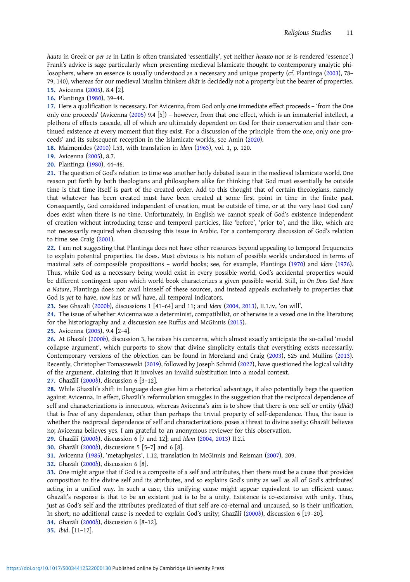<span id="page-10-0"></span>hauto in Greek or per se in Latin is often translated 'essentially', yet neither heauto nor se is rendered 'essence'.) Frank's advice is sage particularly when presenting medieval Islamicate thought to contemporary analytic philosophers, where an essence is usually understood as a necessary and unique property (cf. Plantinga [\(2003](#page-12-0)), 78– 79, 140), whereas for our medieval Muslim thinkers dhāt is decidedly not a property but the bearer of properties.

15. Avicenna ([2005\)](#page-11-0), 8.4 [2].

16. Plantinga ([1980\)](#page-12-0), 39–44.

17. Here a qualification is necessary. For Avicenna, from God only one immediate effect proceeds – 'from the One only one proceeds' (Avicenna [\(2005](#page-11-0)) 9.4 [5]) – however, from that one effect, which is an immaterial intellect, a plethora of effects cascade, all of which are ultimately dependent on God for their conservation and their continued existence at every moment that they exist. For a discussion of the principle 'from the one, only one proceeds' and its subsequent reception in the Islamicate worlds, see Amin ([2020\)](#page-11-0).

18. Maimonides ([2010\)](#page-11-0) I.53, with translation in Idem ([1963\)](#page-11-0), vol. 1, p. 120.

19. Avicenna ([2005\)](#page-11-0), 8.7.

20. Plantinga ([1980\)](#page-12-0), 44–46.

21. The question of God's relation to time was another hotly debated issue in the medieval Islamicate world. One reason put forth by both theologians and philosophers alike for thinking that God must essentially be outside time is that time itself is part of the created order. Add to this thought that of certain theologians, namely that whatever has been created must have been created at some first point in time in the finite past. Consequently, God considered independent of creation, must be outside of time, or at the very least God can/ does exist when there is no time. Unfortunately, in English we cannot speak of God's existence independent of creation without introducing tense and temporal particles, like 'before', 'prior to', and the like, which are not necessarily required when discussing this issue in Arabic. For a contemporary discussion of God's relation to time see Craig ([2001\)](#page-11-0).

22. I am not suggesting that Plantinga does not have other resources beyond appealing to temporal frequencies to explain potential properties. He does. Must obvious is his notion of possible worlds understood in terms of maximal sets of compossible propositions – world books; see, for example, Plantinga ([1970\)](#page-12-0) and Idem ([1976\)](#page-12-0). Thus, while God as a necessary being would exist in every possible world, God's accidental properties would be different contingent upon which world book characterizes a given possible world. Still, in On Does God Have a Nature, Plantinga does not avail himself of these sources, and instead appeals exclusively to properties that God is yet to have, now has or will have, all temporal indicators.

23. See Ghazālī [\(2000](#page-11-0)b), discussions 1 [41–64] and 11; and Idem ([2004,](#page-11-0) [2013](#page-11-0)), II.1.iv, 'on will'.

24. The issue of whether Avicenna was a determinist, compatibilist, or otherwise is a vexed one in the literature; for the historiography and a discussion see Ruffus and McGinnis ([2015\)](#page-12-0).

25. Avicenna ([2005\)](#page-11-0), 9.4 [2–4].

26. At Ghazālī ([2000](#page-11-0)b), discussion 3, he raises his concerns, which almost exactly anticipate the so-called 'modal collapse argument', which purports to show that divine simplicity entails that everything exists necessarily. Contemporary versions of the objection can be found in Moreland and Craig ([2003\)](#page-12-0), 525 and Mullins ([2013\)](#page-12-0). Recently, Christopher Tomaszewski [\(2019](#page-12-0)), followed by Joseph Schmid ([2022\)](#page-12-0), have questioned the logical validity of the argument, claiming that it involves an invalid substitution into a modal context.

27. Ghazālī ([2000](#page-11-0)b), discussion 6 [3–12].

28. While Ghazālī's shift in language does give him a rhetorical advantage, it also potentially begs the question against Avicenna. In effect, Ghazālī's reformulation smuggles in the suggestion that the reciprocal dependence of self and characterizations is innocuous, whereas Avicenna's aim is to show that there is one self or entity (dhāt) that is free of any dependence, other than perhaps the trivial property of self-dependence. Thus, the issue is whether the reciprocal dependence of self and characterizations poses a threat to divine aseity: Ghazālī believes no; Avicenna believes yes. I am grateful to an anonymous reviewer for this observation.

29. Ghazālī ([2000](#page-11-0)b), discussion 6 [7 and 12]; and Idem [\(2004](#page-11-0), [2013\)](#page-11-0) II.2.i.

30. Ghazālī ([2000](#page-11-0)b), discussions 5 [5–7] and 6 [8].

31. Avicenna ([1985\)](#page-11-0), 'metaphysics', 1.12, translation in McGinnis and Reisman [\(2007](#page-12-0)), 209.

32. Ghazālī ([2000](#page-11-0)b), discussion 6 [8].

33. One might argue that if God is a composite of a self and attributes, then there must be a cause that provides composition to the divine self and its attributes, and so explains God's unity as well as all of God's attributes' acting in a unified way. In such a case, this unifying cause might appear equivalent to an efficient cause. Ghazālī's response is that to be an existent just is to be a unity. Existence is co-extensive with unity. Thus, just as God's self and the attributes predicated of that self are co-eternal and uncaused, so is their unification. In short, no additional cause is needed to explain God's unity; Ghazālī ([2000](#page-11-0)b), discussion 6 [19–20].

34. Ghazālī ([2000](#page-11-0)b), discussion 6 [8–12].

35. Ibid. [11–12].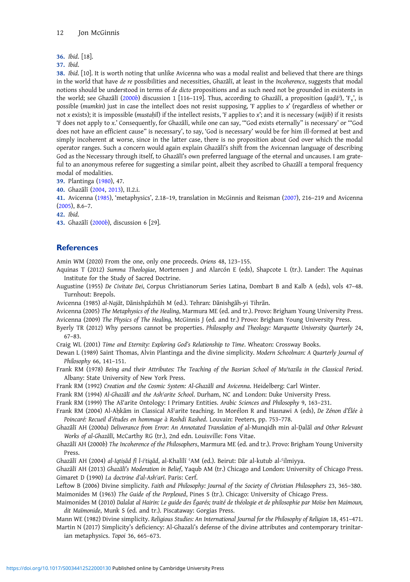<span id="page-11-0"></span>36. Ibid. [18].

37. Ibid.

38. Ibid. [10]. It is worth noting that unlike Avicenna who was a modal realist and believed that there are things in the world that have de re possibilities and necessities, Ghazālī, at least in the Incoherence, suggests that modal notions should be understood in terms of de dicto propositions and as such need not be grounded in existents in the world; see Ghazālī (2000b) discussion 1 [116–119]. Thus, according to Ghazālī, a proposition (qaḍāʾ), 'F<sub>x</sub>', is possible (mumkin) just in case the intellect does not resist supposing, 'F applies to x' (regardless of whether or not x exists); it is impossible (mustahīl) if the intellect resists, 'F applies to x'; and it is necessary (wājib) if it resists 'F does not apply to x.' Consequently, for Ghazālī, while one can say, '"God exists eternally" is necessary' or '"God does not have an efficient cause" is necessary', to say, 'God is necessary' would be for him ill-formed at best and simply incoherent at worse, since in the latter case, there is no proposition about God over which the modal operator ranges. Such a concern would again explain Ghazālī's shift from the Avicennan language of describing God as the Necessary through itself, to Ghazālī's own preferred language of the eternal and uncauses. I am grateful to an anonymous referee for suggesting a similar point, albeit they ascribed to Ghazālī a temporal frequency modal of modalities.

39. Plantinga [\(1980](#page-12-0)), 47.

40. Ghazālī (2004, 2013), II.2.i.

41. Avicenna (1985), 'metaphysics', 2.18–19, translation in McGinnis and Reisman ([2007\)](#page-12-0), 216–219 and Avicenna (2005), 8.6–7.

42. Ibid.

43. Ghazālī (2000b), discussion 6 [29].

#### **References**

Amin WM (2020) From the one, only one proceeds. Oriens 48, 123–155.

- Aquinas T (2012) Summa Theologiae, Mortensen J and Alarcón E (eds), Shapcote L (tr.). Lander: The Aquinas Institute for the Study of Sacred Doctrine.
- Augustine (1955) De Civitate Dei, Corpus Christianorum Series Latina, Dombart B and Kalb A (eds), vols 47–48. Turnhout: Brepols.
- Avicenna (1985) al-Najāt, Dānishpāzhūh M (ed.). Tehran: Dānishgāh-yi Tihrān.

Avicenna (2005) The Metaphysics of the Healing, Marmura ME (ed. and tr.). Provo: Brigham Young University Press. Avicenna (2009) The Physics of The Healing, McGinnis J (ed. and tr.) Provo: Brigham Young University Press.

- Byerly TR (2012) Why persons cannot be properties. Philosophy and Theology: Marquette University Quarterly 24, 67–83.
- Craig WL (2001) Time and Eternity: Exploring God's Relationship to Time. Wheaton: Crossway Books.
- Dewan L (1989) Saint Thomas, Alvin Plantinga and the divine simplicity. Modern Schoolman: A Quarterly Journal of Philosophy 66, 141–151.

Frank RM (1978) Being and their Attributes: The Teaching of the Basrian School of Mu'tazila in the Classical Period. Albany: State University of New York Press.

- Frank RM (1992) Creation and the Cosmic System: Al-Ghazālī and Avicenna. Heidelberg: Carl Winter.
- Frank RM (1994) Al-Ghazālī and the Ash'arite School. Durham, NC and London: Duke University Press.
- Frank RM (1999) The Aš'arite Ontology: I Primary Entities. Arabic Sciences and Philosophy 9, 163–231.
- Frank RM (2004) Al-Aḥkām in Classical Ašʿarite teaching. In Morélon R and Hasnawi A (eds), De Zénon d'Élée à Poincaré: Recueil d'études en hommage à Roshdi Rashed. Louvain: Peeters, pp. 753–778.
- Ghazālī AH (2000a) Deliverance from Error: An Annotated Translation of al-Munqidh min al-Ḍalāl and Other Relevant Works of al-Ghazālī, McCarthy RG (tr.), 2nd edn. Louisville: Fons Vitae.
- Ghazālī AH (2000b) The Incoherence of the Philosophers, Marmura ME (ed. and tr.). Provo: Brigham Young University Press.
- Ghazālī AH (2004) al-Iqtiṣād fī l-iʿtiqād, al-Khalīlī ʿAM (ed.). Beirut: Dār al-kutub al-ʿilmiyya.

Ghazālī AH (2013) Ghazālī's Moderation in Belief, Yaqub AM (tr.) Chicago and London: University of Chicago Press. Gimaret D (1990) La doctrine d'al-Ashʿarī. Paris: Cerf.

Leftow B (2006) Divine simplicity. Faith and Philosophy: Journal of the Society of Christian Philosophers 23, 365–380. Maimonides M (1963) The Guide of the Perplexed, Pines S (tr.). Chicago: University of Chicago Press.

- Maimonides M (2010) Dalalat al Hairin: Le guide des Égarés; traité de théologie et de philosophie par Moïse ben Maimoun, dit Maïmonide, Munk S (ed. and tr.). Piscataway: Gorgias Press.
- Mann WE (1982) Divine simplicity. Religious Studies: An International Journal for the Philosophy of Religion 18, 451–471. Martin N (2017) Simplicity's deficiency: Al-Ghazali's defense of the divine attributes and contemporary trinitarian metaphysics. Topoi 36, 665–673.